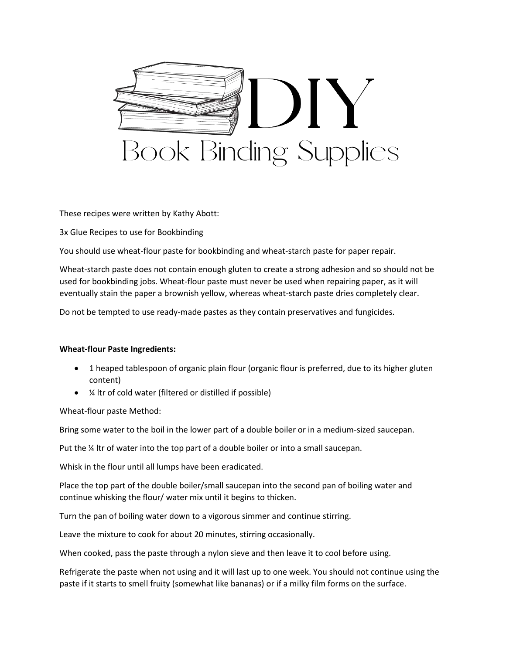

These recipes were written by Kathy Abott:

3x Glue Recipes to use for Bookbinding

You should use wheat-flour paste for bookbinding and wheat-starch paste for paper repair.

Wheat-starch paste does not contain enough gluten to create a strong adhesion and so should not be used for bookbinding jobs. Wheat-flour paste must never be used when repairing paper, as it will eventually stain the paper a brownish yellow, whereas wheat-starch paste dries completely clear.

Do not be tempted to use ready-made pastes as they contain preservatives and fungicides.

## **Wheat-flour Paste Ingredients:**

- 1 heaped tablespoon of organic plain flour (organic flour is preferred, due to its higher gluten content)
- ¼ ltr of cold water (filtered or distilled if possible)

Wheat-flour paste Method:

Bring some water to the boil in the lower part of a double boiler or in a medium-sized saucepan.

Put the ¼ ltr of water into the top part of a double boiler or into a small saucepan.

Whisk in the flour until all lumps have been eradicated.

Place the top part of the double boiler/small saucepan into the second pan of boiling water and continue whisking the flour/ water mix until it begins to thicken.

Turn the pan of boiling water down to a vigorous simmer and continue stirring.

Leave the mixture to cook for about 20 minutes, stirring occasionally.

When cooked, pass the paste through a nylon sieve and then leave it to cool before using.

Refrigerate the paste when not using and it will last up to one week. You should not continue using the paste if it starts to smell fruity (somewhat like bananas) or if a milky film forms on the surface.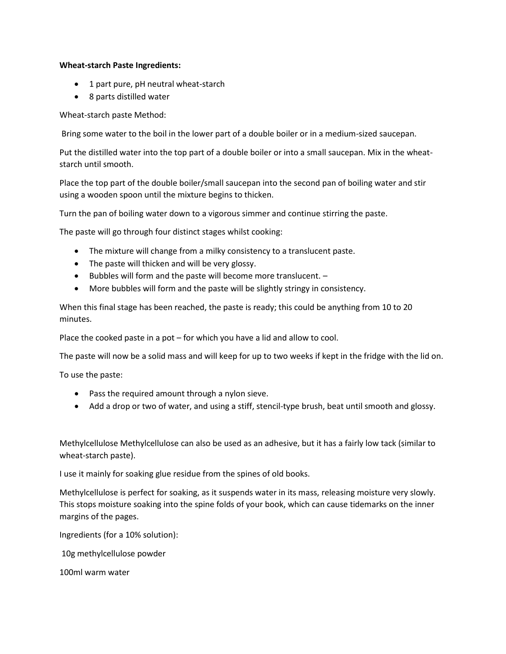## **Wheat-starch Paste Ingredients:**

- 1 part pure, pH neutral wheat-starch
- 8 parts distilled water

## Wheat-starch paste Method:

Bring some water to the boil in the lower part of a double boiler or in a medium-sized saucepan.

Put the distilled water into the top part of a double boiler or into a small saucepan. Mix in the wheatstarch until smooth.

Place the top part of the double boiler/small saucepan into the second pan of boiling water and stir using a wooden spoon until the mixture begins to thicken.

Turn the pan of boiling water down to a vigorous simmer and continue stirring the paste.

The paste will go through four distinct stages whilst cooking:

- The mixture will change from a milky consistency to a translucent paste.
- The paste will thicken and will be very glossy.
- Bubbles will form and the paste will become more translucent. –
- More bubbles will form and the paste will be slightly stringy in consistency.

When this final stage has been reached, the paste is ready; this could be anything from 10 to 20 minutes.

Place the cooked paste in a pot – for which you have a lid and allow to cool.

The paste will now be a solid mass and will keep for up to two weeks if kept in the fridge with the lid on.

To use the paste:

- Pass the required amount through a nylon sieve.
- Add a drop or two of water, and using a stiff, stencil-type brush, beat until smooth and glossy.

Methylcellulose Methylcellulose can also be used as an adhesive, but it has a fairly low tack (similar to wheat-starch paste).

I use it mainly for soaking glue residue from the spines of old books.

Methylcellulose is perfect for soaking, as it suspends water in its mass, releasing moisture very slowly. This stops moisture soaking into the spine folds of your book, which can cause tidemarks on the inner margins of the pages.

Ingredients (for a 10% solution):

10g methylcellulose powder

100ml warm water